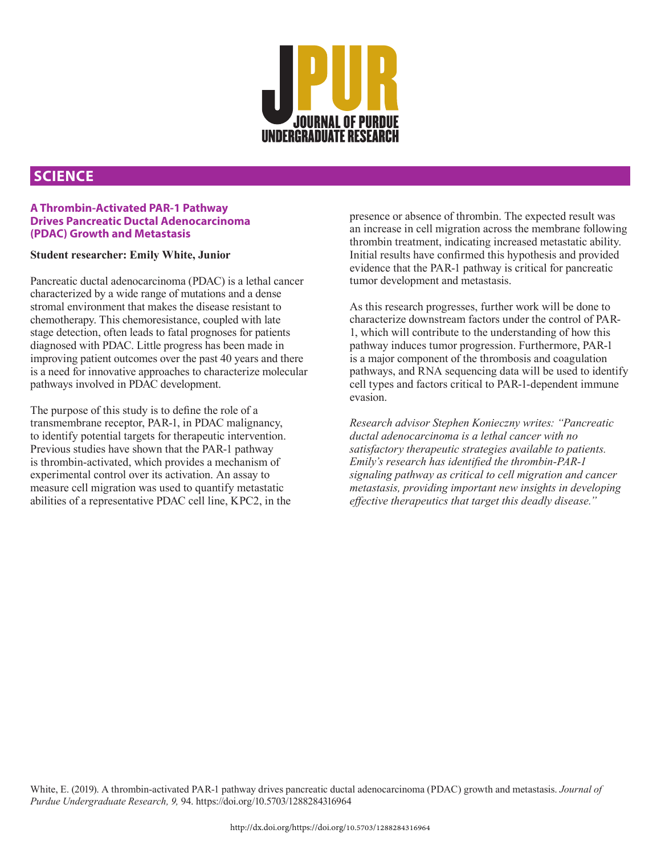

## **SCIENCE**

## **A Thrombin-Activated PAR-1 Pathway Drives Pancreatic Ductal Adenocarcinoma (PDAC) Growth and Metastasis**

## **Student researcher: Emily White, Junior**

Pancreatic ductal adenocarcinoma (PDAC) is a lethal cancer characterized by a wide range of mutations and a dense stromal environment that makes the disease resistant to chemotherapy. This chemoresistance, coupled with late stage detection, often leads to fatal prognoses for patients diagnosed with PDAC. Little progress has been made in improving patient outcomes over the past 40 years and there is a need for innovative approaches to characterize molecular pathways involved in PDAC development.

The purpose of this study is to define the role of a transmembrane receptor, PAR-1, in PDAC malignancy, to identify potential targets for therapeutic intervention. Previous studies have shown that the PAR-1 pathway is thrombin-activated, which provides a mechanism of experimental control over its activation. An assay to measure cell migration was used to quantify metastatic abilities of a representative PDAC cell line, KPC2, in the presence or absence of thrombin. The expected result was an increase in cell migration across the membrane following thrombin treatment, indicating increased metastatic ability. Initial results have confirmed this hypothesis and provided evidence that the PAR-1 pathway is critical for pancreatic tumor development and metastasis.

As this research progresses, further work will be done to characterize downstream factors under the control of PAR-1, which will contribute to the understanding of how this pathway induces tumor progression. Furthermore, PAR-1 is a major component of the thrombosis and coagulation pathways, and RNA sequencing data will be used to identify cell types and factors critical to PAR-1-dependent immune evasion.

*Research advisor Stephen Konieczny writes: "Pancreatic ductal adenocarcinoma is a lethal cancer with no satisfactory therapeutic strategies available to patients. Emily's research has identified the thrombin-PAR-1 signaling pathway as critical to cell migration and cancer metastasis, providing important new insights in developing effective therapeutics that target this deadly disease.*"

White, E. (2019). A thrombin-activated PAR-1 pathway drives pancreatic ductal adenocarcinoma (PDAC) growth and metastasis. *Journal of Purdue Undergraduate Research, 9,* 94. https://doi.org/10.5703/1288284316964